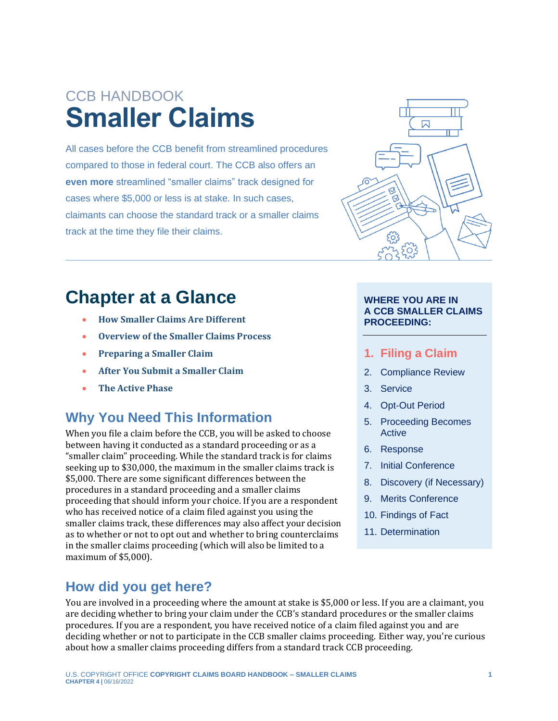# CCB HANDBOOK **Smaller Claims**

All cases before the CCB benefit from streamlined procedures compared to those in federal court. The CCB also offers an **even more** streamlined "smaller claims" track designed for cases where \$5,000 or less is at stake. In such cases, claimants can choose the standard track or a smaller claims track at the time they file their claims.

## **Chapter at a Glance**

- **[How Smaller Claims Are Different](#page-2-0)**
- **[Overview of the Smaller Claims Process](#page-2-1)**
- **[Preparing a Smaller Claim](#page-4-0)**
- **[After You Submit a Smaller Claim](#page-4-1)**
- **[The Active Phase](#page-5-0)**

### **Why You Need This Information**

When you file a claim before the CCB, you will be asked to choose between having it conducted as a standard proceeding or as a "smaller claim" proceeding. While the standard track is for claims seeking up to \$30,000, the maximum in the smaller claims track is \$5,000. There are some significant differences between the procedures in a standard proceeding and a smaller claims proceeding that should inform your choice. If you are a respondent who has received notice of a claim filed against you using the smaller claims track, these differences may also affect your decision as to whether or not to opt out and whether to bring counterclaims in the smaller claims proceeding (which will also be limited to a maximum of \$5,000).

### **How did you get here?**

You are involved in a proceeding where the amount at stake is \$5,000 or less. If you are a claimant, you are deciding whether to bring your claim under the CCB's standard procedures or the smaller claims procedures. If you are a respondent, you have received notice of a claim filed against you and are deciding whether or not to participate in the CCB smaller claims proceeding. Either way, you're curious about how a smaller claims proceeding differs from a standard track CCB proceeding.



#### **WHERE YOU ARE IN A CCB SMALLER CLAIMS PROCEEDING:**

#### **1. Filing a Claim**

- 2. Compliance Review
- 3. Service
- 4. Opt-Out Period
- 5. Proceeding Becomes Active
- 6. Response
- 7. Initial Conference
- 8. Discovery (if Necessary)
- 9. Merits Conference
- 10. Findings of Fact
- 11. Determination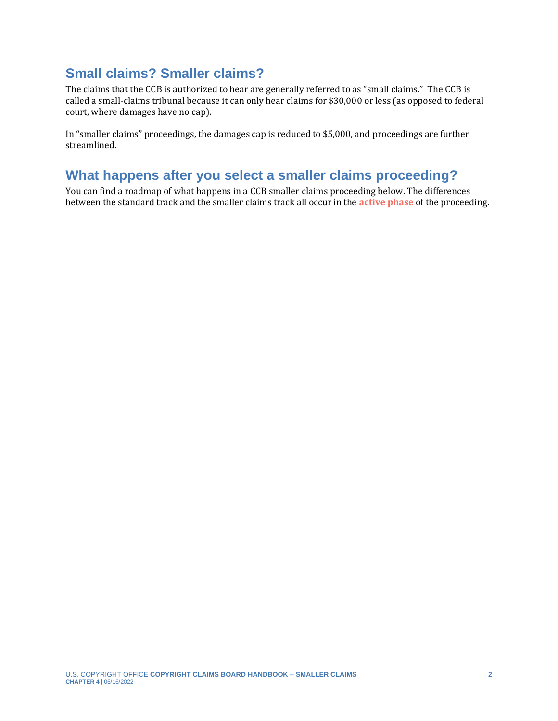#### **Small claims? Smaller claims?**

The claims that the CCB is authorized to hear are generally referred to as "small claims." The CCB is called a small-claims tribunal because it can only hear claims for \$30,000 or less (as opposed to federal court, where damages have no cap).

In "smaller claims" proceedings, the damages cap is reduced to \$5,000, and proceedings are further streamlined.

#### **What happens after you select a smaller claims proceeding?**

<span id="page-1-0"></span>You can find a roadmap of what happens in a CCB smaller claims proceeding below. The differences between the standard track and the smaller claims track all occur in the **[active phase](#page-10-0)** of the proceeding.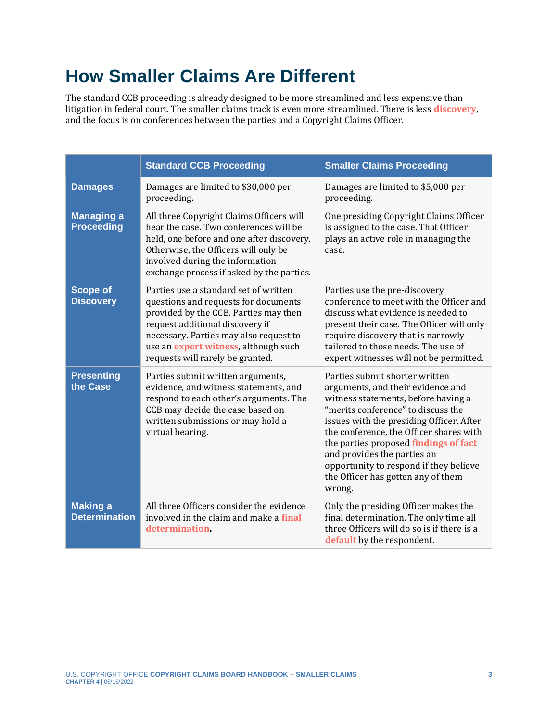# <span id="page-2-0"></span>**How Smaller Claims Are Different**

<span id="page-2-3"></span>The standard CCB proceeding is already designed to be more streamlined and less expensive than litigation in federal court. The smaller claims track is even more streamlined. There is less **[discovery](#page-10-0)**, and the focus is on conferences between the parties and a Copyright Claims Officer.

<span id="page-2-6"></span><span id="page-2-5"></span><span id="page-2-4"></span><span id="page-2-2"></span><span id="page-2-1"></span>

|                                         | <b>Standard CCB Proceeding</b>                                                                                                                                                                                                                                                         | <b>Smaller Claims Proceeding</b>                                                                                                                                                                                                                                                                                                                                                                          |
|-----------------------------------------|----------------------------------------------------------------------------------------------------------------------------------------------------------------------------------------------------------------------------------------------------------------------------------------|-----------------------------------------------------------------------------------------------------------------------------------------------------------------------------------------------------------------------------------------------------------------------------------------------------------------------------------------------------------------------------------------------------------|
| <b>Damages</b>                          | Damages are limited to \$30,000 per<br>proceeding.                                                                                                                                                                                                                                     | Damages are limited to \$5,000 per<br>proceeding.                                                                                                                                                                                                                                                                                                                                                         |
| <b>Managing a</b><br><b>Proceeding</b>  | All three Copyright Claims Officers will<br>hear the case. Two conferences will be<br>held, one before and one after discovery.<br>Otherwise, the Officers will only be<br>involved during the information<br>exchange process if asked by the parties.                                | One presiding Copyright Claims Officer<br>is assigned to the case. That Officer<br>plays an active role in managing the<br>case.                                                                                                                                                                                                                                                                          |
| <b>Scope of</b><br><b>Discovery</b>     | Parties use a standard set of written<br>questions and requests for documents<br>provided by the CCB. Parties may then<br>request additional discovery if<br>necessary. Parties may also request to<br>use an <i>expert</i> witness, although such<br>requests will rarely be granted. | Parties use the pre-discovery<br>conference to meet with the Officer and<br>discuss what evidence is needed to<br>present their case. The Officer will only<br>require discovery that is narrowly<br>tailored to those needs. The use of<br>expert witnesses will not be permitted.                                                                                                                       |
| <b>Presenting</b><br>the Case           | Parties submit written arguments,<br>evidence, and witness statements, and<br>respond to each other's arguments. The<br>CCB may decide the case based on<br>written submissions or may hold a<br>virtual hearing.                                                                      | Parties submit shorter written<br>arguments, and their evidence and<br>witness statements, before having a<br>"merits conference" to discuss the<br>issues with the presiding Officer. After<br>the conference, the Officer shares with<br>the parties proposed findings of fact<br>and provides the parties an<br>opportunity to respond if they believe<br>the Officer has gotten any of them<br>wrong. |
| <b>Making a</b><br><b>Determination</b> | All three Officers consider the evidence<br>involved in the claim and make a <b>final</b><br>determination.                                                                                                                                                                            | Only the presiding Officer makes the<br>final determination. The only time all<br>three Officers will do so is if there is a<br>default by the respondent.                                                                                                                                                                                                                                                |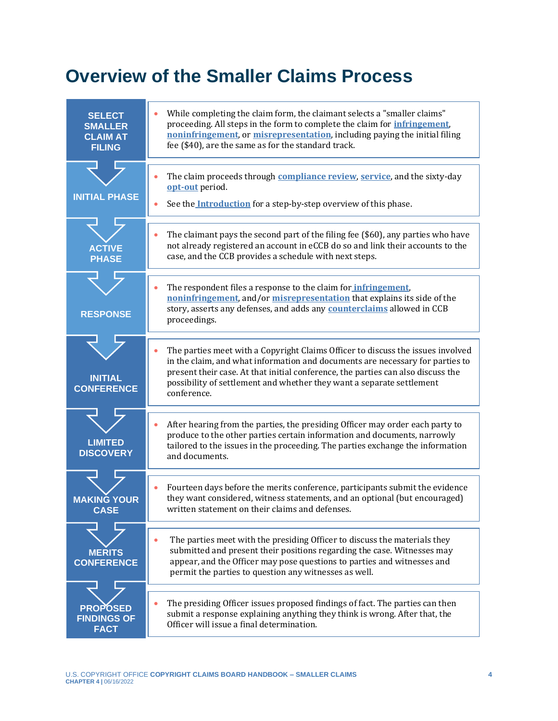# **Overview of the Smaller Claims Process**

| <b>SELECT</b><br><b>SMALLER</b><br><b>CLAIM AT</b><br><b>FILING</b> | While completing the claim form, the claimant selects a "smaller claims"<br>proceeding. All steps in the form to complete the claim for <i>infringement</i> ,<br>noninfringement, or misrepresentation, including paying the initial filing<br>fee (\$40), are the same as for the standard track.                                           |  |
|---------------------------------------------------------------------|----------------------------------------------------------------------------------------------------------------------------------------------------------------------------------------------------------------------------------------------------------------------------------------------------------------------------------------------|--|
| <b>INITIAL PHASE</b>                                                | The claim proceeds through <b>compliance review</b> , service, and the sixty-day<br>opt-out period.<br>See the Introduction for a step-by-step overview of this phase.                                                                                                                                                                       |  |
| <b>ACTIVE</b><br><b>PHASE</b>                                       | The claimant pays the second part of the filing fee (\$60), any parties who have<br>not already registered an account in eCCB do so and link their accounts to the<br>case, and the CCB provides a schedule with next steps.                                                                                                                 |  |
| <b>RESPONSE</b>                                                     | The respondent files a response to the claim for <i>infringement</i> ,<br>noninfringement, and/or misrepresentation that explains its side of the<br>story, asserts any defenses, and adds any <b>counterclaims</b> allowed in CCB<br>proceedings.                                                                                           |  |
| <b>INITIAL</b><br><b>CONFERENCE</b>                                 | The parties meet with a Copyright Claims Officer to discuss the issues involved<br>in the claim, and what information and documents are necessary for parties to<br>present their case. At that initial conference, the parties can also discuss the<br>possibility of settlement and whether they want a separate settlement<br>conference. |  |
| <b>LIMITED</b><br><b>DISCOVERY</b>                                  | After hearing from the parties, the presiding Officer may order each party to<br>produce to the other parties certain information and documents, narrowly<br>tailored to the issues in the proceeding. The parties exchange the information<br>and documents.                                                                                |  |
| <b>MAKING YOUR</b><br><b>CASE</b>                                   | Fourteen days before the merits conference, participants submit the evidence<br>they want considered, witness statements, and an optional (but encouraged)<br>written statement on their claims and defenses.                                                                                                                                |  |
| <b>MERITS</b><br><b>CONFERENCE</b>                                  | The parties meet with the presiding Officer to discuss the materials they<br>submitted and present their positions regarding the case. Witnesses may<br>appear, and the Officer may pose questions to parties and witnesses and<br>permit the parties to question any witnesses as well.                                                     |  |
| <b>PROPOSED</b><br><b>FINDINGS OF</b><br><b>FACT</b>                | The presiding Officer issues proposed findings of fact. The parties can then<br>submit a response explaining anything they think is wrong. After that, the<br>Officer will issue a final determination.                                                                                                                                      |  |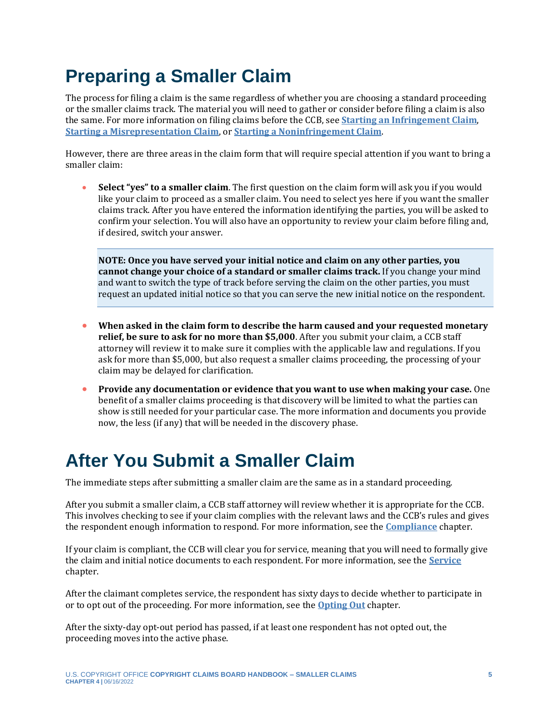# <span id="page-4-0"></span>**Preparing a Smaller Claim**

The process for filing a claim is the same regardless of whether you are choosing a standard proceeding or the smaller claims track. The material you will need to gather or consider before filing a claim is also the same. For more information on filing claims before the CCB, see **[Starting an Infringement Claim](https://ccb.gov/handbook/Infringement-Claim.pdf)**, **[Starting a Misrepresentation Claim](https://ccb.gov/handbook/Misrepresentation-Claim.pdf)**, or **[Starting a Noninfringement Claim](https://ccb.gov/handbook/NonInfringement-Claim.pdf)**.

However, there are three areas in the claim form that will require special attention if you want to bring a smaller claim:

• **Select "yes" to a smaller claim**. The first question on the claim form will ask you if you would like your claim to proceed as a smaller claim. You need to select yes here if you want the smaller claims track. After you have entered the information identifying the parties, you will be asked to confirm your selection. You will also have an opportunity to review your claim before filing and, if desired, switch your answer.

**NOTE: Once you have served your initial notice and claim on any other parties, you cannot change your choice of a standard or smaller claims track.** If you change your mind and want to switch the type of track before serving the claim on the other parties, you must request an updated initial notice so that you can serve the new initial notice on the respondent.

- **When asked in the claim form to describe the harm caused and your requested monetary relief, be sure to ask for no more than \$5,000**. After you submit your claim, a CCB staff attorney will review it to make sure it complies with the applicable law and regulations. If you ask for more than \$5,000, but also request a smaller claims proceeding, the processing of your claim may be delayed for clarification.
- **Provide any documentation or evidence that you want to use when making your case.** One benefit of a smaller claims proceeding is that discovery will be limited to what the parties can show is still needed for your particular case. The more information and documents you provide now, the less (if any) that will be needed in the discovery phase.

## <span id="page-4-1"></span>**After You Submit a Smaller Claim**

The immediate steps after submitting a smaller claim are the same as in a standard proceeding.

After you submit a smaller claim, a CCB staff attorney will review whether it is appropriate for the CCB. This involves checking to see if your claim complies with the relevant laws and the CCB's rules and gives the respondent enough information to respond. For more information, see the **[Compliance](https://ccb.gov/handbook/Compliance.pdf)** chapter.

If your claim is compliant, the CCB will clear you for service, meaning that you will need to formally give the claim and initial notice documents to each respondent. For more information, see the **[Service](https://ccb.gov/handbook/Service.pdf)** chapter.

After the claimant completes service, the respondent has sixty days to decide whether to participate in or to opt out of the proceeding. For more information, see the **[Opting Out](https://ccb.gov/handbook/Opting-Out.pdf)** chapter.

After the sixty-day opt-out period has passed, if at least one respondent has not opted out, the proceeding moves into the active phase.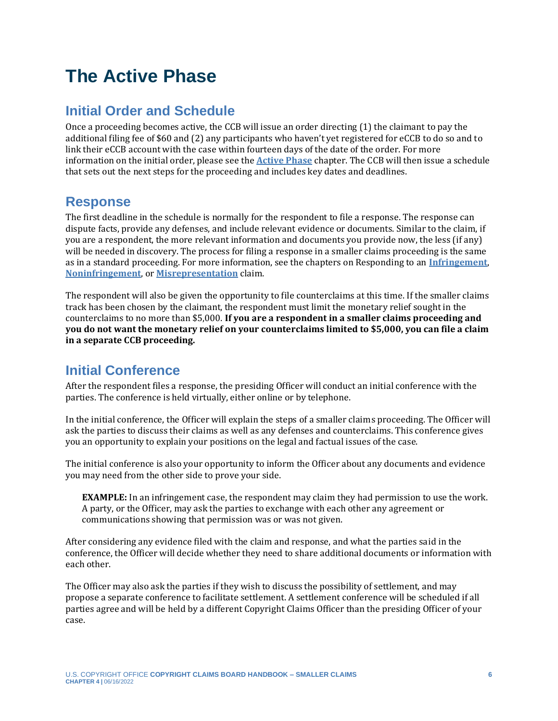## <span id="page-5-0"></span>**The Active Phase**

### **Initial Order and Schedule**

Once a proceeding becomes active, the CCB will issue an order directing (1) the claimant to pay the additional filing fee of \$60 and (2) any participants who haven't yet registered for eCCB to do so and to link their eCCB account with the case within fourteen days of the date of the order. For more information on the initial order, please see the **[Active Phase](https://ccb.gov/handbook/Active-Phase.pdf)** chapter. The CCB will then issue a schedule that sets out the next steps for the proceeding and includes key dates and deadlines.

#### **Response**

The first deadline in the schedule is normally for the respondent to file a response. The response can dispute facts, provide any defenses, and include relevant evidence or documents. Similar to the claim, if you are a respondent, the more relevant information and documents you provide now, the less (if any) will be needed in discovery. The process for filing a response in a smaller claims proceeding is the same as in a standard proceeding. For more information, see the chapters on Responding to an **[Infringement](https://ccb.gov/handbook/Response-Infringement.pdf)**, **[Noninfringement](https://ccb.gov/handbook/Response-Noninfringement.pdf)**, or **[Misrepresentation](https://ccb.gov/handbook/Response-Misrepresentation.pdf)** claim.

The respondent will also be given the opportunity to file counterclaims at this time. If the smaller claims track has been chosen by the claimant, the respondent must limit the monetary relief sought in the counterclaims to no more than \$5,000. **If you are a respondent in a smaller claims proceeding and you do not want the monetary relief on your counterclaims limited to \$5,000, you can file a claim in a separate CCB proceeding.**

#### **Initial Conference**

After the respondent files a response, the presiding Officer will conduct an initial conference with the parties. The conference is held virtually, either online or by telephone.

In the initial conference, the Officer will explain the steps of a smaller claims proceeding. The Officer will ask the parties to discuss their claims as well as any defenses and counterclaims. This conference gives you an opportunity to explain your positions on the legal and factual issues of the case.

The initial conference is also your opportunity to inform the Officer about any documents and evidence you may need from the other side to prove your side.

**EXAMPLE:** In an infringement case, the respondent may claim they had permission to use the work. A party, or the Officer, may ask the parties to exchange with each other any agreement or communications showing that permission was or was not given.

After considering any evidence filed with the claim and response, and what the parties said in the conference, the Officer will decide whether they need to share additional documents or information with each other.

The Officer may also ask the parties if they wish to discuss the possibility of settlement, and may propose a separate conference to facilitate settlement. A settlement conference will be scheduled if all parties agree and will be held by a different Copyright Claims Officer than the presiding Officer of your case.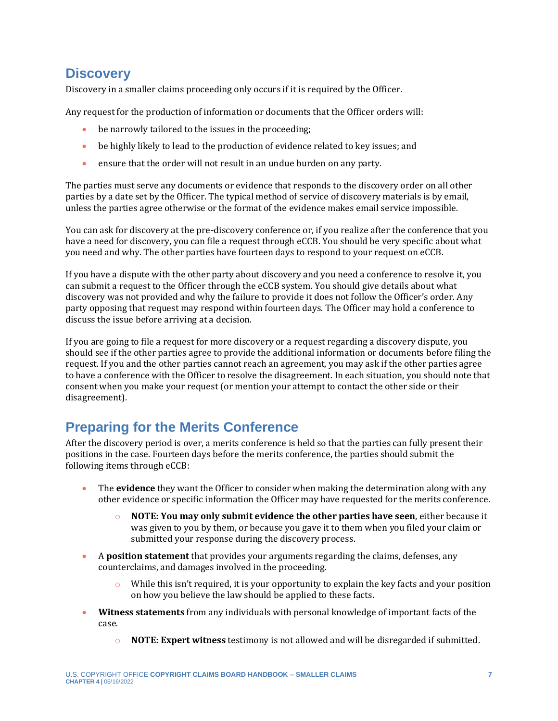#### **Discovery**

Discovery in a smaller claims proceeding only occurs if it is required by the Officer.

Any request for the production of information or documents that the Officer orders will:

- be narrowly tailored to the issues in the proceeding;
- be highly likely to lead to the production of evidence related to key issues; and
- ensure that the order will not result in an undue burden on any party.

The parties must serve any documents or evidence that responds to the discovery order on all other parties by a date set by the Officer. The typical method of service of discovery materials is by email, unless the parties agree otherwise or the format of the evidence makes email service impossible.

You can ask for discovery at the pre-discovery conference or, if you realize after the conference that you have a need for discovery, you can file a request through eCCB. You should be very specific about what you need and why. The other parties have fourteen days to respond to your request on eCCB.

If you have a dispute with the other party about discovery and you need a conference to resolve it, you can submit a request to the Officer through the eCCB system. You should give details about what discovery was not provided and why the failure to provide it does not follow the Officer's order. Any party opposing that request may respond within fourteen days. The Officer may hold a conference to discuss the issue before arriving at a decision.

If you are going to file a request for more discovery or a request regarding a discovery dispute, you should see if the other parties agree to provide the additional information or documents before filing the request. If you and the other parties cannot reach an agreement, you may ask if the other parties agree to have a conference with the Officer to resolve the disagreement. In each situation, you should note that consent when you make your request (or mention your attempt to contact the other side or their disagreement).

### **Preparing for the Merits Conference**

After the discovery period is over, a merits conference is held so that the parties can fully present their positions in the case. Fourteen days before the merits conference, the parties should submit the following items through eCCB:

- The **evidence** they want the Officer to consider when making the determination along with any other evidence or specific information the Officer may have requested for the merits conference.
	- o **NOTE: You may only submit evidence the other parties have seen**, either because it was given to you by them, or because you gave it to them when you filed your claim or submitted your response during the discovery process.
- A **position statement** that provides your arguments regarding the claims, defenses, any counterclaims, and damages involved in the proceeding.
	- While this isn't required, it is your opportunity to explain the key facts and your position on how you believe the law should be applied to these facts.
- **Witness statements** from any individuals with personal knowledge of important facts of the case.
	- o **NOTE: Expert witness** testimony is not allowed and will be disregarded if submitted.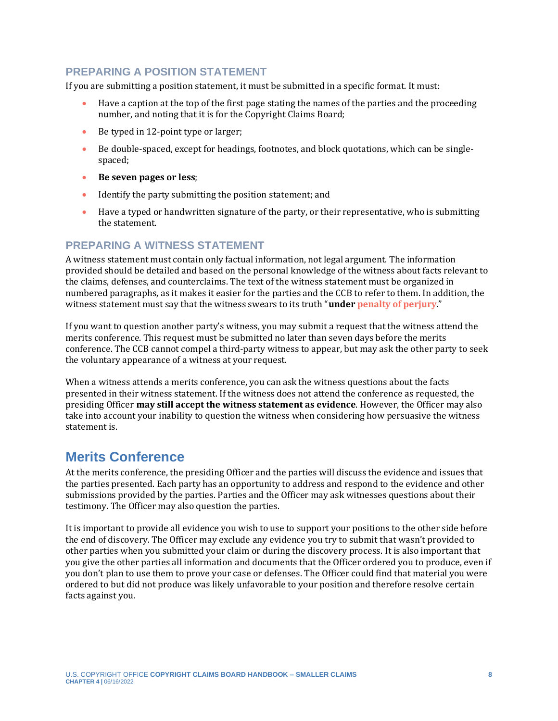#### **PREPARING A POSITION STATEMENT**

If you are submitting a position statement, it must be submitted in a specific format. It must:

- Have a caption at the top of the first page stating the names of the parties and the proceeding number, and noting that it is for the Copyright Claims Board;
- Be typed in 12-point type or larger;
- Be double-spaced, except for headings, footnotes, and block quotations, which can be singlespaced;
- **Be seven pages or less**;
- Identify the party submitting the position statement; and
- <span id="page-7-0"></span>• Have a typed or handwritten signature of the party, or their representative, who is submitting the statement.

#### **PREPARING A WITNESS STATEMENT**

A witness statement must contain only factual information, not legal argument. The information provided should be detailed and based on the personal knowledge of the witness about facts relevant to the claims, defenses, and counterclaims. The text of the witness statement must be organized in numbered paragraphs, as it makes it easier for the parties and the CCB to refer to them. In addition, the witness statement must say that the witness swears to its truth "**under [penalty of perjury](#page-10-0)**."

If you want to question another party's witness, you may submit a request that the witness attend the merits conference. This request must be submitted no later than seven days before the merits conference. The CCB cannot compel a third-party witness to appear, but may ask the other party to seek the voluntary appearance of a witness at your request.

When a witness attends a merits conference, you can ask the witness questions about the facts presented in their witness statement. If the witness does not attend the conference as requested, the presiding Officer **may still accept the witness statement as evidence**. However, the Officer may also take into account your inability to question the witness when considering how persuasive the witness statement is.

#### **Merits Conference**

At the merits conference, the presiding Officer and the parties will discuss the evidence and issues that the parties presented. Each party has an opportunity to address and respond to the evidence and other submissions provided by the parties. Parties and the Officer may ask witnesses questions about their testimony. The Officer may also question the parties.

It is important to provide all evidence you wish to use to support your positions to the other side before the end of discovery. The Officer may exclude any evidence you try to submit that wasn't provided to other parties when you submitted your claim or during the discovery process. It is also important that you give the other parties all information and documents that the Officer ordered you to produce, even if you don't plan to use them to prove your case or defenses. The Officer could find that material you were ordered to but did not produce was likely unfavorable to your position and therefore resolve certain facts against you.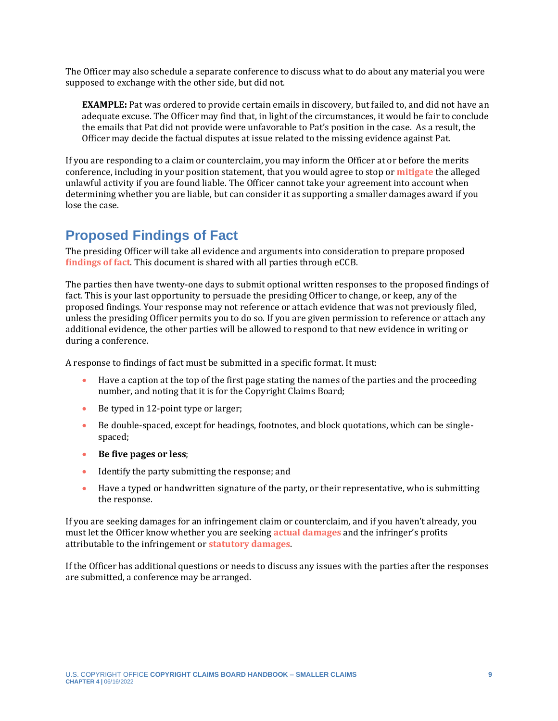The Officer may also schedule a separate conference to discuss what to do about any material you were supposed to exchange with the other side, but did not.

<span id="page-8-1"></span>**EXAMPLE:** Pat was ordered to provide certain emails in discovery, but failed to, and did not have an adequate excuse. The Officer may find that, in light of the circumstances, it would be fair to conclude the emails that Pat did not provide were unfavorable to Pat's position in the case. As a result, the Officer may decide the factual disputes at issue related to the missing evidence against Pat.

If you are responding to a claim or counterclaim, you may inform the Officer at or before the merits conference, including in your position statement, that you would agree to stop or **[mitigate](#page-10-0)** the alleged unlawful activity if you are found liable. The Officer cannot take your agreement into account when determining whether you are liable, but can consider it as supporting a smaller damages award if you lose the case.

#### **Proposed Findings of Fact**

The presiding Officer will take all evidence and arguments into consideration to prepare proposed **[findings of fact](#page-10-0)**. This document is shared with all parties through eCCB.

The parties then have twenty-one days to submit optional written responses to the proposed findings of fact. This is your last opportunity to persuade the presiding Officer to change, or keep, any of the proposed findings. Your response may not reference or attach evidence that was not previously filed, unless the presiding Officer permits you to do so. If you are given permission to reference or attach any additional evidence, the other parties will be allowed to respond to that new evidence in writing or during a conference.

A response to findings of fact must be submitted in a specific format. It must:

- Have a caption at the top of the first page stating the names of the parties and the proceeding number, and noting that it is for the Copyright Claims Board;
- Be typed in 12-point type or larger;
- Be double-spaced, except for headings, footnotes, and block quotations, which can be singlespaced;
- **Be five pages or less**;
- Identify the party submitting the response; and
- <span id="page-8-2"></span><span id="page-8-0"></span>• Have a typed or handwritten signature of the party, or their representative, who is submitting the response.

If you are seeking damages for an infringement claim or counterclaim, and if you haven't already, you must let the Officer know whether you are seeking **[actual damages](#page-10-0)** and the infringer's profits attributable to the infringement or **[statutory damages](#page-10-0)**.

If the Officer has additional questions or needs to discuss any issues with the parties after the responses are submitted, a conference may be arranged.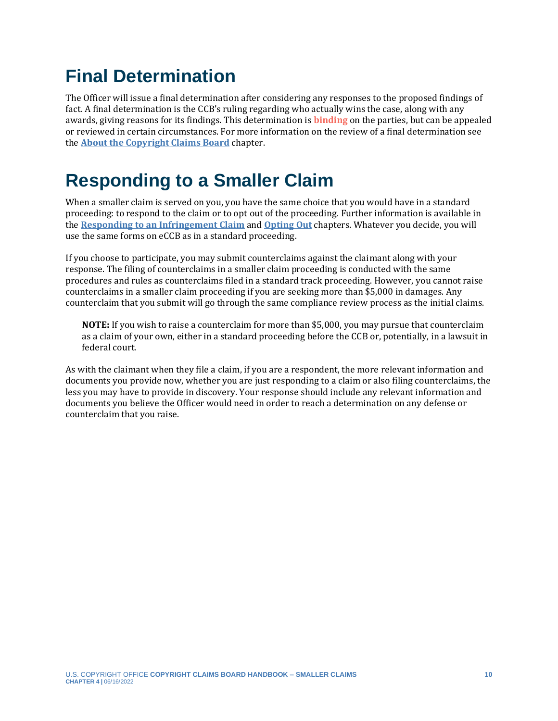# **Final Determination**

<span id="page-9-0"></span>The Officer will issue a final determination after considering any responses to the proposed findings of fact. A final determination is the CCB's ruling regarding who actually wins the case, along with any awards, giving reasons for its findings. This determination is **[binding](#page-10-0)** on the parties, but can be appealed or reviewed in certain circumstances. For more information on the review of a final determination see the **[About the Copyright Claims Board](https://ccb.gov/handbook/Introduction.pdf)** chapter.

# **Responding to a Smaller Claim**

When a smaller claim is served on you, you have the same choice that you would have in a standard proceeding: to respond to the claim or to opt out of the proceeding. Further information is available in the **[Responding to an Infringement Claim](https://ccb.gov/handbook/Response-Infringement.pdf)** and **[Opting Out](https://ccb.gov/handbook/Opting-Out.pdf)** chapters. Whatever you decide, you will use the same forms on eCCB as in a standard proceeding.

If you choose to participate, you may submit counterclaims against the claimant along with your response. The filing of counterclaims in a smaller claim proceeding is conducted with the same procedures and rules as counterclaims filed in a standard track proceeding. However, you cannot raise counterclaims in a smaller claim proceeding if you are seeking more than \$5,000 in damages. Any counterclaim that you submit will go through the same compliance review process as the initial claims.

**NOTE:** If you wish to raise a counterclaim for more than \$5,000, you may pursue that counterclaim as a claim of your own, either in a standard proceeding before the CCB or, potentially, in a lawsuit in federal court.

As with the claimant when they file a claim, if you are a respondent, the more relevant information and documents you provide now, whether you are just responding to a claim or also filing counterclaims, the less you may have to provide in discovery. Your response should include any relevant information and documents you believe the Officer would need in order to reach a determination on any defense or counterclaim that you raise.